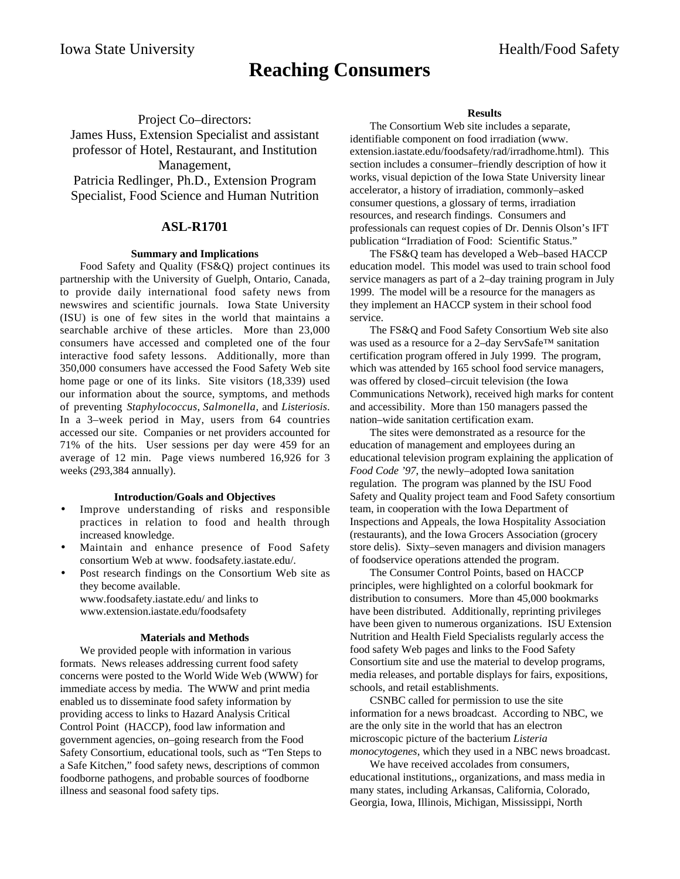# **Reaching Consumers**

Project Co–directors: James Huss, Extension Specialist and assistant professor of Hotel, Restaurant, and Institution Management, Patricia Redlinger, Ph.D., Extension Program Specialist, Food Science and Human Nutrition

# **ASL-R1701**

## **Summary and Implications**

Food Safety and Quality (FS&Q) project continues its partnership with the University of Guelph, Ontario, Canada, to provide daily international food safety news from newswires and scientific journals. Iowa State University (ISU) is one of few sites in the world that maintains a searchable archive of these articles. More than 23,000 consumers have accessed and completed one of the four interactive food safety lessons. Additionally, more than 350,000 consumers have accessed the Food Safety Web site home page or one of its links. Site visitors (18,339) used our information about the source, symptoms, and methods of preventing *Staphylococcus*, *Salmonella*, and *Listeriosis*. In a 3–week period in May, users from 64 countries accessed our site. Companies or net providers accounted for 71% of the hits. User sessions per day were 459 for an average of 12 min. Page views numbered 16,926 for 3 weeks (293,384 annually).

### **Introduction/Goals and Objectives**

- Improve understanding of risks and responsible practices in relation to food and health through increased knowledge.
- Maintain and enhance presence of Food Safety consortium Web at www. foodsafety.iastate.edu/.
- Post research findings on the Consortium Web site as they become available. www.foodsafety.iastate.edu/ and links to

www.extension.iastate.edu/foodsafety

#### **Materials and Methods**

We provided people with information in various formats. News releases addressing current food safety concerns were posted to the World Wide Web (WWW) for immediate access by media. The WWW and print media enabled us to disseminate food safety information by providing access to links to Hazard Analysis Critical Control Point (HACCP), food law information and government agencies, on–going research from the Food Safety Consortium, educational tools, such as "Ten Steps to a Safe Kitchen," food safety news, descriptions of common foodborne pathogens, and probable sources of foodborne illness and seasonal food safety tips.

#### **Results**

The Consortium Web site includes a separate, identifiable component on food irradiation (www. extension.iastate.edu/foodsafety/rad/irradhome.html). This section includes a consumer–friendly description of how it works, visual depiction of the Iowa State University linear accelerator, a history of irradiation, commonly–asked consumer questions, a glossary of terms, irradiation resources, and research findings. Consumers and professionals can request copies of Dr. Dennis Olson's IFT publication "Irradiation of Food: Scientific Status."

The FS&Q team has developed a Web–based HACCP education model. This model was used to train school food service managers as part of a 2–day training program in July 1999. The model will be a resource for the managers as they implement an HACCP system in their school food service.

The FS&Q and Food Safety Consortium Web site also was used as a resource for a 2–day ServSafe™ sanitation certification program offered in July 1999. The program, which was attended by 165 school food service managers, was offered by closed–circuit television (the Iowa Communications Network), received high marks for content and accessibility. More than 150 managers passed the nation–wide sanitation certification exam.

The sites were demonstrated as a resource for the education of management and employees during an educational television program explaining the application of *Food Code '97*, the newly–adopted Iowa sanitation regulation. The program was planned by the ISU Food Safety and Quality project team and Food Safety consortium team, in cooperation with the Iowa Department of Inspections and Appeals, the Iowa Hospitality Association (restaurants), and the Iowa Grocers Association (grocery store delis). Sixty–seven managers and division managers of foodservice operations attended the program.

The Consumer Control Points, based on HACCP principles, were highlighted on a colorful bookmark for distribution to consumers. More than 45,000 bookmarks have been distributed. Additionally, reprinting privileges have been given to numerous organizations. ISU Extension Nutrition and Health Field Specialists regularly access the food safety Web pages and links to the Food Safety Consortium site and use the material to develop programs, media releases, and portable displays for fairs, expositions, schools, and retail establishments.

CSNBC called for permission to use the site information for a news broadcast. According to NBC, we are the only site in the world that has an electron microscopic picture of the bacterium *Listeria monocytogenes*, which they used in a NBC news broadcast.

We have received accolades from consumers, educational institutions,, organizations, and mass media in many states, including Arkansas, California, Colorado, Georgia, Iowa, Illinois, Michigan, Mississippi, North